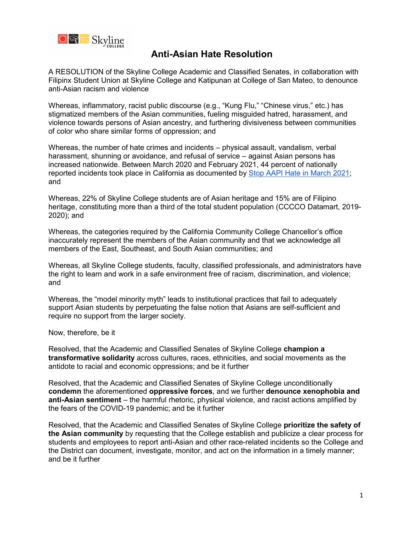

A RESOLUTION of the Skyline College Academic and Classified Senates, in collaboration with Filipinx Student Union at Skyline College and Katipunan at College of San Mateo, to denounce anti-Asian racism and violence

Whereas, inflammatory, racist public discourse (e.g., "Kung Flu," "Chinese virus," etc.) has stigmatized members of the Asian communities, fueling misguided hatred, harassment, and violence towards persons of Asian ancestry, and furthering divisiveness between communities of color who share similar forms of oppression; and

Whereas, the number of hate crimes and incidents – physical assault, vandalism, verbal harassment, shunning or avoidance, and refusal of service – against Asian persons has increased nationwide. Between March 2020 and February 2021, 44 percent of nationally reported incidents took place in California as documented by [Stop AAPI Hate in March 2021;](https://stopaapihate.org/wp-content/uploads/2021/04/Stop-AAPI-Hate-National-Report-210316.pdf) and

Whereas, 22% of Skyline College students are of Asian heritage [a](#page-0-0)nd 15% are of Filipino heritage, constituting more than a third of the total student population (CCCCO Datamart, 2019- 2020); and

Whereas, the categories required by the California Community College Chancellor's office inaccurately represent the members of the Asian community and that we acknowledge all members of the East, Southeast, and South Asian communities; and

Whereas, all Skyline College students, faculty, classified professionals, and administrators have the right to learn and work in a safe environment free of racism, discrimination, and violence; and

Whereas, the "model minority myth" leads to institutional practices that fail to adequately support Asian students by perpetuating the false notion that Asians are self-sufficient and require no support from the larger society.

Now, therefore, be it

Resolved, that the Academic and Classified Senates of Skyline College **champion a transformative solidarity** across cultures, races, ethnicities, and social movements as the antidote to racial and economic oppressions; and be it further

Resolved, that the Academic and Classified Senates of Skyline College unconditionally **condemn** the aforementioned **oppressive forces**, and we further **denounce xenophobia and anti-Asian sentiment** – the harmful rhetoric, physical violence, and racist actions amplified by the fears of the COVID-19 pandemic; and be it further

<span id="page-0-0"></span>Resolved, that the Academic and Classified Senates of Skyline College **prioritize the safety of the Asian community** by requesting that the College establish and publicize a clear process for students and employees to report anti-Asian and other race-related incidents so the College and the District can document, investigate, monitor, and act on the information in a timely manner; and be it further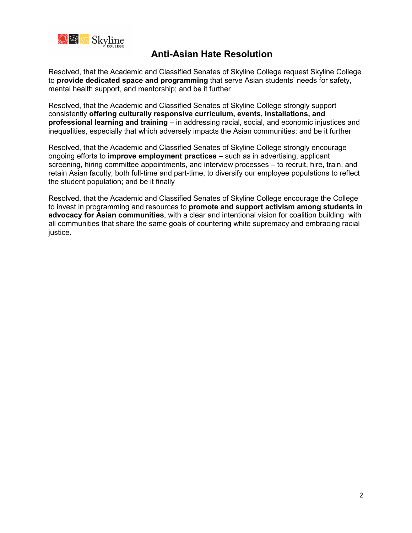

Resolved, that the Academic and Classified Senates of Skyline College request Skyline College to **provide dedicated space and programming** that serve Asian students' needs for safety, mental health support, and mentorship; and be it further

Resolved, that the Academic and Classified Senates of Skyline College strongly support consistently **offering culturally responsive curriculum, events, installations, and professional learning and training** – in addressing racial, social, and economic injustices and inequalities, especially that which adversely impacts the Asian communities; and be it further

Resolved, that the Academic and Classified Senates of Skyline College strongly encourage ongoing efforts to **improve employment practices** – such as in advertising, applicant screening, hiring committee appointments, and interview processes – to recruit, hire, train, and retain Asian faculty, both full-time and part-time, to diversify our employee populations to reflect the student population; and be it finally

Resolved, that the Academic and Classified Senates of Skyline College encourage the College to invest in programming and resources to **promote and support activism among students in advocacy for Asian communities**, with a clear and intentional vision for coalition building with all communities that share the same goals of countering white supremacy and embracing racial justice.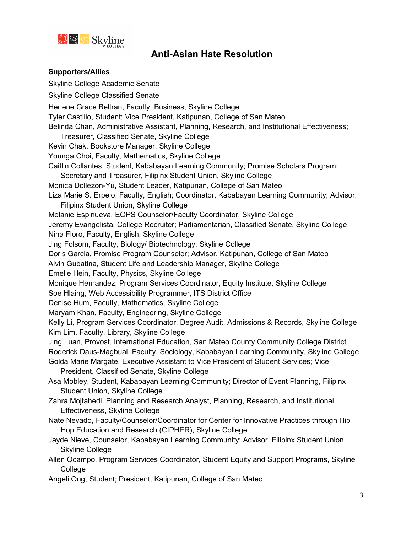

#### **Supporters/Allies**

Skyline College Academic Senate Skyline College Classified Senate Herlene Grace Beltran, Faculty, Business, Skyline College Tyler Castillo, Student; Vice President, Katipunan, College of San Mateo Belinda Chan, Administrative Assistant, Planning, Research, and Institutional Effectiveness; Treasurer, Classified Senate, Skyline College Kevin Chak, Bookstore Manager, Skyline College Younga Choi, Faculty, Mathematics, Skyline College Caitlin Collantes, Student, Kababayan Learning Community; Promise Scholars Program; Secretary and Treasurer, Filipinx Student Union, Skyline College Monica Dollezon-Yu, Student Leader, Katipunan, College of San Mateo Liza Marie S. Erpelo, Faculty, English; Coordinator, Kababayan Learning Community; Advisor, Filipinx Student Union, Skyline College Melanie Espinueva, EOPS Counselor/Faculty Coordinator, Skyline College Jeremy Evangelista, College Recruiter; Parliamentarian, Classified Senate, Skyline College Nina Floro, Faculty, English, Skyline College Jing Folsom, Faculty, Biology/ Biotechnology, Skyline College Doris Garcia, Promise Program Counselor; Advisor, Katipunan, College of San Mateo Alvin Gubatina, Student Life and Leadership Manager, Skyline College Emelie Hein, Faculty, Physics, Skyline College Monique Hernandez, Program Services Coordinator, Equity Institute, Skyline College Soe Hlaing, Web Accessibility Programmer, ITS District Office Denise Hum, Faculty, Mathematics, Skyline College Maryam Khan, Faculty, Engineering, Skyline College Kelly Li, Program Services Coordinator, Degree Audit, Admissions & Records, Skyline College Kim Lim, Faculty, Library, Skyline College Jing Luan, Provost, International Education, San Mateo County Community College District Roderick Daus-Magbual, Faculty, Sociology, Kababayan Learning Community, Skyline College Golda Marie Margate, Executive Assistant to Vice President of Student Services; Vice President, Classified Senate, Skyline College Asa Mobley, Student, Kababayan Learning Community; Director of Event Planning, Filipinx Student Union, Skyline College Zahra Mojtahedi, Planning and Research Analyst, Planning, Research, and Institutional Effectiveness, Skyline College Nate Nevado, Faculty/Counselor/Coordinator for Center for Innovative Practices through Hip Hop Education and Research (CIPHER), Skyline College Jayde Nieve, Counselor, Kababayan Learning Community; Advisor, Filipinx Student Union, Skyline College Allen Ocampo, Program Services Coordinator, Student Equity and Support Programs, Skyline **College** Angeli Ong, Student; President, Katipunan, College of San Mateo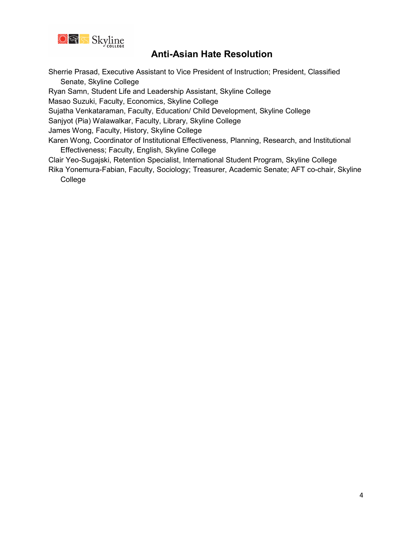

Sherrie Prasad, Executive Assistant to Vice President of Instruction; President, Classified Senate, Skyline College

Ryan Samn, Student Life and Leadership Assistant, Skyline College

Masao Suzuki, Faculty, Economics, Skyline College

Sujatha Venkataraman, Faculty, Education/ Child Development, Skyline College

Sanjyot (Pia) Walawalkar, Faculty, Library, Skyline College

James Wong, Faculty, History, Skyline College

Karen Wong, Coordinator of Institutional Effectiveness, Planning, Research, and Institutional Effectiveness; Faculty, English, Skyline College

Clair Yeo-Sugajski, Retention Specialist, International Student Program, Skyline College

Rika Yonemura-Fabian, Faculty, Sociology; Treasurer, Academic Senate; AFT co-chair, Skyline College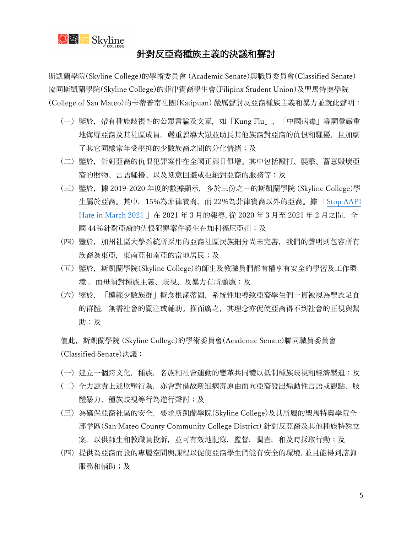

### 針對反亞裔種族主義的決議和聲討

斯凱蘭學院(Skyline College)的學術委員會 (Academic Senate)與職員委員會(Classified Senate) 協同斯凱蘭學院(Skyline College)的菲律賓裔學生會(Filipinx Student Union)及聖馬特奧學院 (College of San Mateo)的卡蒂普南社團(Katipuan) 嚴厲聲討反亞裔種族主義和暴力並就此聲明:

- (一) 鑒於,帶有種族歧視性的公眾言論及文章,如「Kung Flu」、「中國病毒」等詞彙嚴重 地侮辱亞裔及其社區成員,嚴重誤導大眾並助長其他族裔對亞裔的仇恨和騷擾,且加劇 了其它同樣常年受壓抑的少數族裔之間的分化情緒;及
- (二) 鑒於,針對亞裔的仇恨犯罪案件在全國正與日俱增。其中包括毆打、襲擊、蓄意毀壞亞 裔的財物、言語騷擾、以及刻意回避或拒絕對亞裔的服務等;及
- (三) 鑒於,據 2019-2020 年度的數據顯示,多於三份之一的斯凱蘭學院 (Skyline College)學 生屬於亞裔。其中,15%為菲律賓裔,而 22%為菲律賓裔以外的亞裔。據 「Stop AAPI [Hate in March 2021](https://stopaapihate.org/wp-content/uploads/2021/04/Stop-AAPI-Hate-National-Report-210316.pdf) 」在 2021 年 3 月的報導, 從 2020 年 3 月至 2021 年 2 月之間, 全 國 44%針對亞裔的仇恨犯罪案件發生在加利福尼亞州;及
- (四) 鑒於,加州社區大學系統所採用的亞裔社區民族細分尚未完善,我們的聲明則包容所有 族裔為東亞,東南亞和南亞的當地居民;及
- (五) 鑒於,斯凱蘭學院(Skyline College)的師生及教職員們都有權享有安全的學習及工作環 境 ,而毋須對種族主義、歧視、及暴力有所顧慮;及
- (六) 鑒於,「模範少數族群」概念根深蒂固,系統性地導致亞裔學生們一貫被視為豐衣足食 的群體,無需社會的關注或輔助。推而廣之,其理念亦促使亞裔得不到社會的正視與幫 助;及

值此,斯凱蘭學院 (Skyline College)的學術委員會(Academic Senate)聯同職員委員會 (Classified Senate)決議:

- (一) 建立一個跨文化,種族,名族和社會運動的變革共同體以抵制種族歧視和經濟壓迫;及
- (二) 全力譴責上述欺壓行為,亦會對借故新冠病毒原由而向亞裔發出煽動性言語或觀點、肢 體暴力、種族歧視等行為進行聲討;及
- (三) 為確保亞裔社區的安全,要求斯凱蘭學院(Skyline College)及其所屬的聖馬特奧學院全 部学區(San Mateo County Community College District) 針對反亞裔及其他種族特殊立 案,以供師生和教職員投訴,並可有效地記錄,監督,調査,和及時採取行動;及
- (四) 提供為亞裔而設的專屬空間與課程以促使亞裔學生們能有安全的環境, 並且能得到諮詢 服務和輔助;及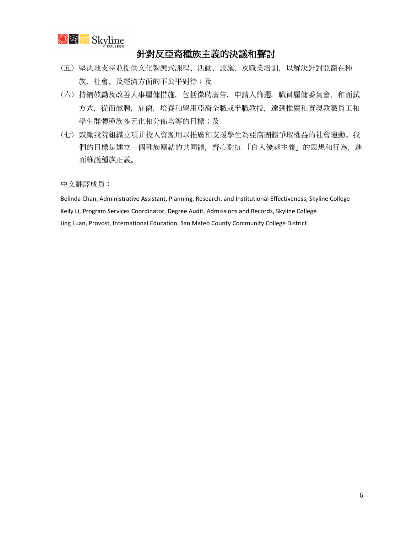

## 針對反亞裔種族主義的決議和聲討

- (五) 堅決地支持並提供文化響應式課程、活動、設施、及職業培訓,以解決針對亞裔在種 族、社會、及經濟方面的不公平對待;及
- (六) 持續鼓勵及改善人事雇傭措施,包括徵聘廣告,申請人篩選,職員雇傭委員會,和面試 方式,從而徵聘,雇傭,培養和留用亞裔全職或半職教授,達到推廣和實現教職員工和 學生群體種族多元化和分佈均等的目標;及
- (七) 鼓勵我院組織立項并投入資源用以推廣和支援學生為亞裔團體爭取權益的社會運動。我 們的目標是建立一個種族團結的共同體,齊心對抗 「白人優越主義」的思想和行為,進 而維護種族正義。

中文翻譯成員:

Belinda Chan, Administrative Assistant, Planning, Research, and Institutional Effectiveness, Skyline College Kelly Li, Program Services Coordinator, Degree Audit, Admissions and Records, Skyline College Jing Luan, Provost, International Education, San Mateo County Community College District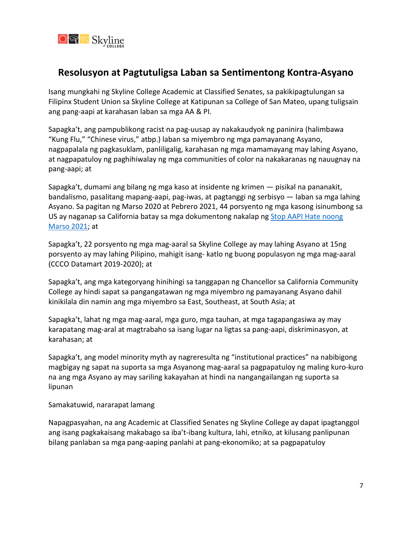

# **Resolusyon at Pagtutuligsa Laban sa Sentimentong Kontra-Asyano**

Isang mungkahi ng Skyline College Academic at Classified Senates, sa pakikipagtulungan sa Filipinx Student Union sa Skyline College at Katipunan sa College of San Mateo, upang tuligsain ang pang-aapi at karahasan laban sa mga AA & PI.

Sapagka't, ang pampublikong racist na pag-uusap ay nakakaudyok ng paninira (halimbawa "Kung Flu," "Chinese virus," atbp.) laban sa miyembro ng mga pamayanang Asyano, nagpapalala ng pagkasuklam, panliligalig, karahasan ng mga mamamayang may lahing Asyano, at nagpapatuloy ng paghihiwalay ng mga communities of color na nakakaranas ng nauugnay na pang-aapi; at

Sapagka't, dumami ang bilang ng mga kaso at insidente ng krimen — pisikal na pananakit, bandalismo, pasalitang mapang-aapi, pag-iwas, at pagtanggi ng serbisyo — laban sa mga lahing Asyano. Sa pagitan ng Marso 2020 at Pebrero 2021, 44 porsyento ng mga kasong isinumbong sa US ay naganap sa California batay sa mga dokumentong nakalap ng [Stop AAPI Hate noong](https://stopaapihate.org/wp-content/uploads/2021/04/Stop-AAPI-Hate-National-Report-210316.pdf)  [Marso 2021;](https://stopaapihate.org/wp-content/uploads/2021/04/Stop-AAPI-Hate-National-Report-210316.pdf) at

Sapagka't, 22 porsyento ng mga mag-aaral sa Skyline College ay may lahing Asyano at 15ng porsyento ay may lahing Pilipino, mahigit isang- katlo ng buong populasyon ng mga mag-aaral (CCCO Datamart 2019-2020); at

Sapagka't, ang mga kategoryang hinihingi sa tanggapan ng Chancellor sa California Community College ay hindi sapat sa pangangatawan ng mga miyembro ng pamayanang Asyano dahil kinikilala din namin ang mga miyembro sa East, Southeast, at South Asia; at

Sapagka't, lahat ng mga mag-aaral, mga guro, mga tauhan, at mga tagapangasiwa ay may karapatang mag-aral at magtrabaho sa isang lugar na ligtas sa pang-aapi, diskriminasyon, at karahasan; at

Sapagka't, ang model minority myth ay nagreresulta ng "institutional practices" na nabibigong magbigay ng sapat na suporta sa mga Asyanong mag-aaral sa pagpapatuloy ng maling kuro-kuro na ang mga Asyano ay may sariling kakayahan at hindi na nangangailangan ng suporta sa lipunan

Samakatuwid, nararapat lamang

Napagpasyahan, na ang Academic at Classified Senates ng Skyline College ay dapat ipagtanggol ang isang pagkakaisang makabago sa iba't-ibang kultura, lahi, etniko, at kilusang panlipunan bilang panlaban sa mga pang-aaping panlahi at pang-ekonomiko; at sa pagpapatuloy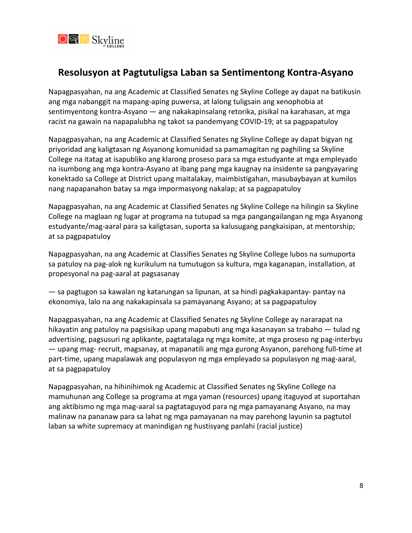

# **Resolusyon at Pagtutuligsa Laban sa Sentimentong Kontra-Asyano**

Napagpasyahan, na ang Academic at Classified Senates ng Skyline College ay dapat na batikusin ang mga nabanggit na mapang-aping puwersa, at lalong tuligsain ang xenophobia at sentimyentong kontra-Asyano — ang nakakapinsalang retorika, pisikal na karahasan, at mga racist na gawain na napapalubha ng takot sa pandemyang COVID-19; at sa pagpapatuloy

Napagpasyahan, na ang Academic at Classified Senates ng Skyline College ay dapat bigyan ng priyoridad ang kaligtasan ng Asyanong komunidad sa pamamagitan ng paghiling sa Skyline College na itatag at isapubliko ang klarong proseso para sa mga estudyante at mga empleyado na isumbong ang mga kontra-Asyano at ibang pang mga kaugnay na insidente sa pangyayaring konektado sa College at District upang maitalakay, maimbistigahan, masubaybayan at kumilos nang napapanahon batay sa mga impormasyong nakalap; at sa pagpapatuloy

Napagpasyahan, na ang Academic at Classified Senates ng Skyline College na hilingin sa Skyline College na maglaan ng lugar at programa na tutupad sa mga pangangailangan ng mga Asyanong estudyante/mag-aaral para sa kaligtasan, suporta sa kalusugang pangkaisipan, at mentorship; at sa pagpapatuloy

Napagpasyahan, na ang Academic at Classifies Senates ng Skyline College lubos na sumuporta sa patuloy na pag-alok ng kurikulum na tumutugon sa kultura, mga kaganapan, installation, at propesyonal na pag-aaral at pagsasanay

— sa pagtugon sa kawalan ng katarungan sa lipunan, at sa hindi pagkakapantay- pantay na ekonomiya, lalo na ang nakakapinsala sa pamayanang Asyano; at sa pagpapatuloy

Napagpasyahan, na ang Academic at Classified Senates ng Skyline College ay nararapat na hikayatin ang patuloy na pagsisikap upang mapabuti ang mga kasanayan sa trabaho — tulad ng advertising, pagsusuri ng aplikante, pagtatalaga ng mga komite, at mga proseso ng pag-interbyu — upang mag- recruit, magsanay, at mapanatili ang mga gurong Asyanon, parehong full-time at part-time, upang mapalawak ang populasyon ng mga empleyado sa populasyon ng mag-aaral, at sa pagpapatuloy

Napagpasyahan, na hihinihimok ng Academic at Classified Senates ng Skyline College na mamuhunan ang College sa programa at mga yaman (resources) upang itaguyod at suportahan ang aktibismo ng mga mag-aaral sa pagtataguyod para ng mga pamayanang Asyano, na may malinaw na pananaw para sa lahat ng mga pamayanan na may parehong layunin sa pagtutol laban sa white supremacy at manindigan ng hustisyang panlahi (racial justice)